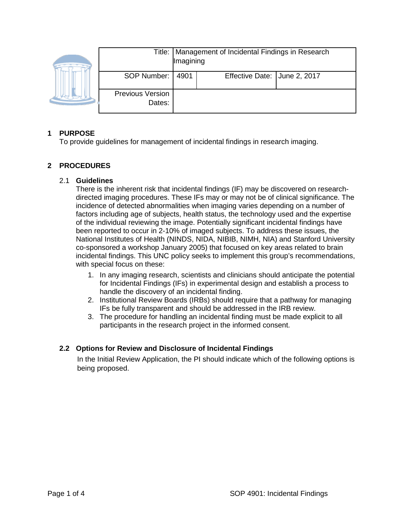|  |                                   | Title:   Management of Incidental Findings in Research<br>Imagining |                              |  |
|--|-----------------------------------|---------------------------------------------------------------------|------------------------------|--|
|  | SOP Number:                       | 4901                                                                | Effective Date: June 2, 2017 |  |
|  | <b>Previous Version</b><br>Dates: |                                                                     |                              |  |

# **1 PURPOSE**

To provide guidelines for management of incidental findings in research imaging.

# **2 PROCEDURES**

### 2.1 **Guidelines**

There is the inherent risk that incidental findings (IF) may be discovered on researchdirected imaging procedures. These IFs may or may not be of clinical significance. The incidence of detected abnormalities when imaging varies depending on a number of factors including age of subjects, health status, the technology used and the expertise of the individual reviewing the image. Potentially significant incidental findings have been reported to occur in 2-10% of imaged subjects. To address these issues, the National Institutes of Health (NINDS, NIDA, NIBIB, NIMH, NIA) and Stanford University co-sponsored a workshop January 2005) that focused on key areas related to brain incidental findings. This UNC policy seeks to implement this group's recommendations, with special focus on these:

- 1. In any imaging research, scientists and clinicians should anticipate the potential for Incidental Findings (IFs) in experimental design and establish a process to handle the discovery of an incidental finding.
- 2. Institutional Review Boards (IRBs) should require that a pathway for managing IFs be fully transparent and should be addressed in the IRB review.
- 3. The procedure for handling an incidental finding must be made explicit to all participants in the research project in the informed consent.

### **2.2 Options for Review and Disclosure of Incidental Findings**

In the Initial Review Application, the PI should indicate which of the following options is being proposed.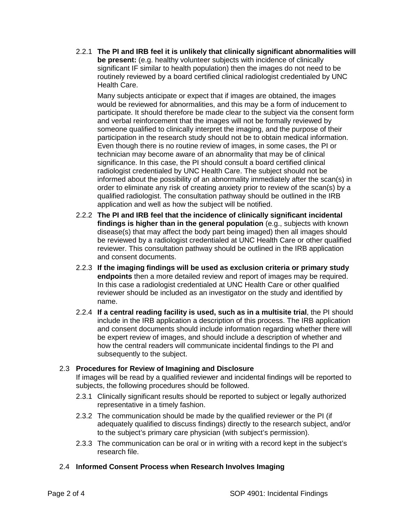2.2.1 **The PI and IRB feel it is unlikely that clinically significant abnormalities will be present:** (e.g. healthy volunteer subjects with incidence of clinically significant IF similar to health population) then the images do not need to be routinely reviewed by a board certified clinical radiologist credentialed by UNC Health Care.

Many subjects anticipate or expect that if images are obtained, the images would be reviewed for abnormalities, and this may be a form of inducement to participate. It should therefore be made clear to the subject via the consent form and verbal reinforcement that the images will not be formally reviewed by someone qualified to clinically interpret the imaging, and the purpose of their participation in the research study should not be to obtain medical information. Even though there is no routine review of images, in some cases, the PI or technician may become aware of an abnormality that may be of clinical significance. In this case, the PI should consult a board certified clinical radiologist credentialed by UNC Health Care. The subject should not be informed about the possibility of an abnormality immediately after the scan(s) in order to eliminate any risk of creating anxiety prior to review of the scan(s) by a qualified radiologist. The consultation pathway should be outlined in the IRB application and well as how the subject will be notified.

- 2.2.2 **The PI and IRB feel that the incidence of clinically significant incidental findings is higher than in the general population** (e.g., subjects with known disease(s) that may affect the body part being imaged) then all images should be reviewed by a radiologist credentialed at UNC Health Care or other qualified reviewer. This consultation pathway should be outlined in the IRB application and consent documents.
- 2.2.3 **If the imaging findings will be used as exclusion criteria or primary study endpoints** then a more detailed review and report of images may be required. In this case a radiologist credentialed at UNC Health Care or other qualified reviewer should be included as an investigator on the study and identified by name.
- 2.2.4 **If a central reading facility is used, such as in a multisite trial**, the PI should include in the IRB application a description of this process. The IRB application and consent documents should include information regarding whether there will be expert review of images, and should include a description of whether and how the central readers will communicate incidental findings to the PI and subsequently to the subject.

### 2.3 **Procedures for Review of Imagining and Disclosure**

If images will be read by a qualified reviewer and incidental findings will be reported to subjects, the following procedures should be followed.

- 2.3.1 Clinically significant results should be reported to subject or legally authorized representative in a timely fashion.
- 2.3.2 The communication should be made by the qualified reviewer or the PI (if adequately qualified to discuss findings) directly to the research subject, and/or to the subject's primary care physician (with subject's permission).
- 2.3.3 The communication can be oral or in writing with a record kept in the subject's research file.

# 2.4 **Informed Consent Process when Research Involves Imaging**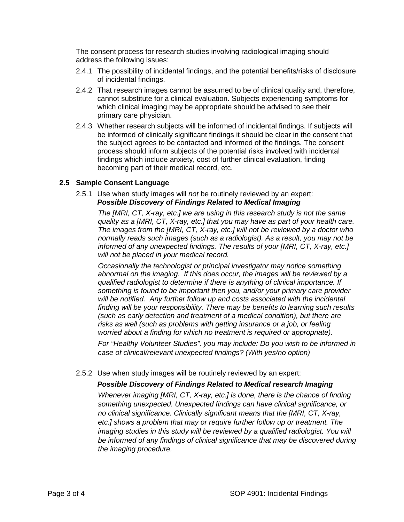The consent process for research studies involving radiological imaging should address the following issues:

- 2.4.1 The possibility of incidental findings, and the potential benefits/risks of disclosure of incidental findings.
- 2.4.2 That research images cannot be assumed to be of clinical quality and, therefore, cannot substitute for a clinical evaluation. Subjects experiencing symptoms for which clinical imaging may be appropriate should be advised to see their primary care physician.
- 2.4.3 Whether research subjects will be informed of incidental findings. If subjects will be informed of clinically significant findings it should be clear in the consent that the subject agrees to be contacted and informed of the findings. The consent process should inform subjects of the potential risks involved with incidental findings which include anxiety, cost of further clinical evaluation, finding becoming part of their medical record, etc.

#### **2.5 Sample Consent Language**

## 2.5.1 Use when study images will *not* be routinely reviewed by an expert: *Possible Discovery of Findings Related to Medical Imaging*

*The [MRI, CT, X-ray, etc.] we are using in this research study is not the same quality as a [MRI, CT, X-ray, etc.] that you may have as part of your health care. The images from the [MRI, CT, X-ray, etc.] will not be reviewed by a doctor who normally reads such images (such as a radiologist). As a result, you may not be informed of any unexpected findings. The results of your [MRI, CT, X-ray, etc.] will not be placed in your medical record.*

*Occasionally the technologist or principal investigator may notice something abnormal on the imaging. If this does occur, the images will be reviewed by a qualified radiologist to determine if there is anything of clinical importance. If something is found to be important then you, and/or your primary care provider*  will be notified. Any further follow up and costs associated with the incidental *finding will be your responsibility. There may be benefits to learning such results (such as early detection and treatment of a medical condition), but there are risks as well (such as problems with getting insurance or a job, or feeling worried about a finding for which no treatment is required or appropriate).*

*For "Healthy Volunteer Studies", you may include: Do you wish to be informed in case of clinical/relevant unexpected findings? (With yes/no option)*

2.5.2 Use when study images will be routinely reviewed by an expert:

### *Possible Discovery of Findings Related to Medical research Imaging*

*Whenever imaging [MRI, CT, X-ray, etc.] is done, there is the chance of finding something unexpected. Unexpected findings can have clinical significance, or no clinical significance. Clinically significant means that the [MRI, CT, X-ray, etc.] shows a problem that may or require further follow up or treatment. The*  imaging studies in this study will be reviewed by a qualified radiologist. You will *be informed of any findings of clinical significance that may be discovered during the imaging procedure.*